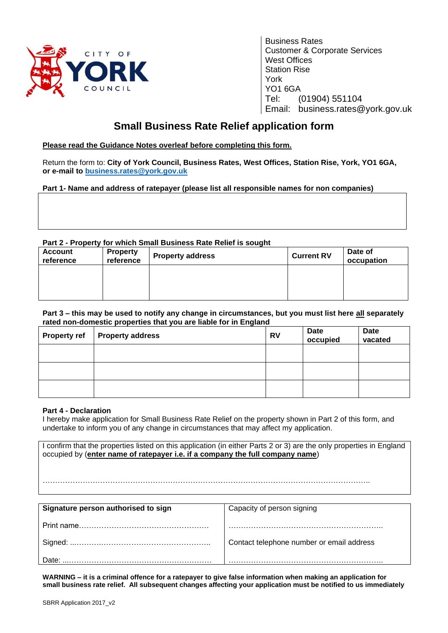

Business Rates Customer & Corporate Services West Offices Station Rise York YO1 6GA Tel: (01904) 551104 Email: business.rates@york.gov.uk

## **Small Business Rate Relief application form**

## **Please read the Guidance Notes overleaf before completing this form.**

Return the form to: **City of York Council, Business Rates, West Offices, Station Rise, York, YO1 6GA, or e-mail to [business.rates@york.gov.uk](mailto:business.rates@york.gov.uk)**

## **Part 1- Name and address of ratepayer (please list all responsible names for non companies)**

## **Part 2 - Property for which Small Business Rate Relief is sought**

| <b>Account</b><br>reference | <b>Property</b><br>reference | <b>Property address</b> | <b>Current RV</b> | Date of<br>occupation |
|-----------------------------|------------------------------|-------------------------|-------------------|-----------------------|
|                             |                              |                         |                   |                       |
|                             |                              |                         |                   |                       |

#### **Part 3 – this may be used to notify any change in circumstances, but you must list here all separately rated non-domestic properties that you are liable for in England**

| Property ref   Property address | RV | Date<br>occupied | <b>Date</b><br>vacated |
|---------------------------------|----|------------------|------------------------|
|                                 |    |                  |                        |
|                                 |    |                  |                        |
|                                 |    |                  |                        |

## **Part 4 - Declaration**

I hereby make application for Small Business Rate Relief on the property shown in Part 2 of this form, and undertake to inform you of any change in circumstances that may affect my application.

I confirm that the properties listed on this application (in either Parts 2 or 3) are the only properties in England occupied by (**enter name of ratepayer i.e. if a company the full company name**)

…………………………………………………………………………………………………………………..

| Signature person authorised to sign | Capacity of person signing                |
|-------------------------------------|-------------------------------------------|
|                                     |                                           |
|                                     | Contact telephone number or email address |
| Date:                               |                                           |

**WARNING – it is a criminal offence for a ratepayer to give false information when making an application for small business rate relief. All subsequent changes affecting your application must be notified to us immediately**